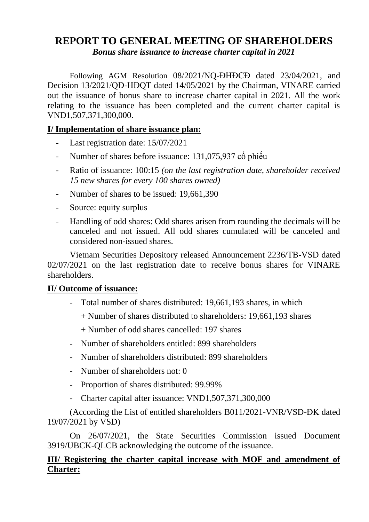# **REPORT TO GENERAL MEETING OF SHAREHOLDERS**

*Bonus share issuance to increase charter capital in 2021*

Following AGM Resolution 08/2021/NQ-ĐHĐCĐ dated 23/04/2021, and Decision 13/2021/QĐ-HĐQT dated 14/05/2021 by the Chairman, VINARE carried out the issuance of bonus share to increase charter capital in 2021. All the work relating to the issuance has been completed and the current charter capital is VND1,507,371,300,000.

## **I/ Implementation of share issuance plan:**

- Last registration date: 15/07/2021
- Number of shares before issuance: 131,075,937 cổ phiếu
- Ratio of issuance: 100:15 *(on the last registration date, shareholder received 15 new shares for every 100 shares owned)*
- Number of shares to be issued: 19,661,390
- Source: equity surplus
- Handling of odd shares: Odd shares arisen from rounding the decimals will be canceled and not issued. All odd shares cumulated will be canceled and considered non-issued shares.

Vietnam Securities Depository released Announcement 2236/TB-VSD dated 02/07/2021 on the last registration date to receive bonus shares for VINARE shareholders.

#### **II/ Outcome of issuance:**

- Total number of shares distributed: 19,661,193 shares, in which
	- + Number of shares distributed to shareholders: 19,661,193 shares

+ Number of odd shares cancelled: 197 shares

- Number of shareholders entitled: 899 shareholders
- Number of shareholders distributed: 899 shareholders
- Number of shareholders not:  $0$
- Proportion of shares distributed: 99.99%
- Charter capital after issuance: VND1,507,371,300,000

(According the List of entitled shareholders B011/2021-VNR/VSD-ĐK dated 19/07/2021 by VSD)

On 26/07/2021, the State Securities Commission issued Document 3919/UBCK-QLCB acknowledging the outcome of the issuance.

## **III/ Registering the charter capital increase with MOF and amendment of Charter:**